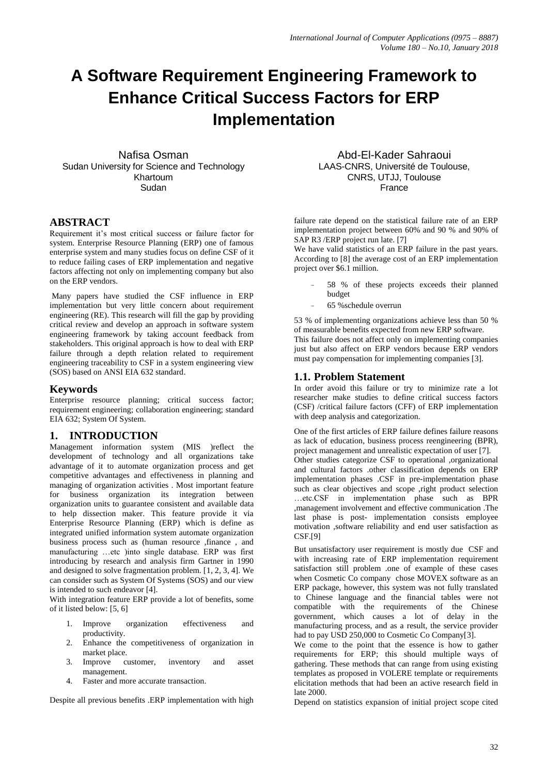# **A Software Requirement Engineering Framework to Enhance Critical Success Factors for ERP Implementation**

Nafisa Osman Sudan University for Science and Technology Khartoum Sudan

## **ABSTRACT**

Requirement it's most critical success or failure factor for system. Enterprise Resource Planning (ERP) one of famous enterprise system and many studies focus on define CSF of it to reduce failing cases of ERP implementation and negative factors affecting not only on implementing company but also on the ERP vendors.

Many papers have studied the CSF influence in ERP implementation but very little concern about requirement engineering (RE). This research will fill the gap by providing critical review and develop an approach in software system engineering framework by taking account feedback from stakeholders. This original approach is how to deal with ERP failure through a depth relation related to requirement engineering traceability to CSF in a system engineering view (SOS) based on ANSI EIA 632 standard.

## **Keywords**

Enterprise resource planning; critical success factor; requirement engineering; collaboration engineering; standard EIA 632: System Of System.

## **1. INTRODUCTION**

Management information system (MIS )reflect the development of technology and all organizations take advantage of it to automate organization process and get competitive advantages and effectiveness in planning and managing of organization activities . Most important feature for business organization its integration between organization units to guarantee consistent and available data to help dissection maker. This feature provide it via Enterprise Resource Planning (ERP) which is define as integrated unified information system automate organization business process such as (human resource ,finance , and manufacturing …etc )into single database. ERP was first introducing by research and analysis firm Gartner in 1990 and designed to solve fragmentation problem. [1, 2, 3, 4]. We can consider such as System Of Systems (SOS) and our view is intended to such endeavor [4].

With integration feature ERP provide a lot of benefits, some of it listed below: [5, 6]

- 1. Improve organization effectiveness and productivity.
- 2. Enhance the competitiveness of organization in market place.
- 3. Improve customer, inventory and asset management.
- 4. Faster and more accurate transaction.

Despite all previous benefits .ERP implementation with high

Abd-El-Kader Sahraoui LAAS-CNRS, Université de Toulouse, CNRS, UTJJ, Toulouse France

failure rate depend on the statistical failure rate of an ERP implementation project between 60% and 90 % and 90% of SAP R3 /ERP project run late. [7]

We have valid statistics of an ERP failure in the past years. According to [8] the average cost of an ERP implementation project over \$6.1 million.

- 58 % of these projects exceeds their planned budget
- 65 %schedule overrun

53 % of implementing organizations achieve less than 50 % of measurable benefits expected from new ERP software. This failure does not affect only on implementing companies just but also affect on ERP vendors because ERP vendors must pay compensation for implementing companies [3].

## **1.1. Problem Statement**

In order avoid this failure or try to minimize rate a lot researcher make studies to define critical success factors (CSF) /critical failure factors (CFF) of ERP implementation with deep analysis and categorization.

One of the first articles of ERP failure defines failure reasons as lack of education, business process reengineering (BPR), project management and unrealistic expectation of user [7]. Other studies categorize CSF to operational ,organizational and cultural factors .other classification depends on ERP implementation phases .CSF in pre-implementation phase such as clear objectives and scope ,right product selection …etc.CSF in implementation phase such as BPR ,management involvement and effective communication .The last phase is post- implementation consists employee motivation ,software reliability and end user satisfaction as CSF.[9]

But unsatisfactory user requirement is mostly due CSF and with increasing rate of ERP implementation requirement satisfaction still problem .one of example of these cases when Cosmetic Co company chose MOVEX software as an ERP package, however, this system was not fully translated to Chinese language and the financial tables were not compatible with the requirements of the Chinese government, which causes a lot of delay in the manufacturing process, and as a result, the service provider had to pay USD 250,000 to Cosmetic Co Company[3].

We come to the point that the essence is how to gather requirements for ERP; this should multiple ways of gathering. These methods that can range from using existing templates as proposed in VOLERE template or requirements elicitation methods that had been an active research field in late 2000.

Depend on statistics expansion of initial project scope cited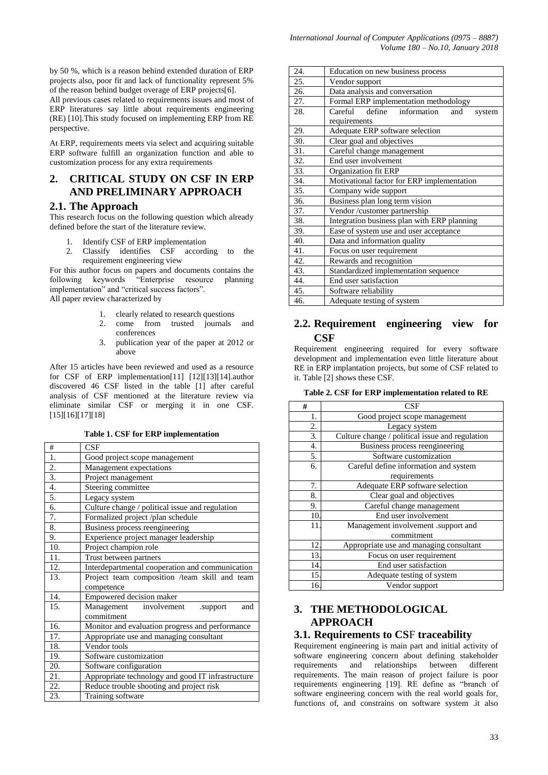by 50 %, which is a reason behind extended duration of ERP projects also, poor fit and lack of functionality represent 5% of the reason behind budget overage of ERP projects[6].

All previous cases related to requirements issues and most of ERP literatures say little about requirements engineering (RE) [10].This study focused on implementing ERP from RE perspective.

At ERP, requirements meets via select and acquiring suitable ERP software fulfill an organization function and able to customization process for any extra requirements

## **2. CRITICAL STUDY ON CSF IN ERP AND PRELIMINARY APPROACH**

## **2.1. The Approach**

This research focus on the following question which already defined before the start of the literature review.

- 1. Identify CSF of ERP implementation
- 2. Classify identifies CSF according to the requirement engineering view

For this author focus on papers and documents contains the following keywords "Enterprise resource planning implementation" and "critical success factors". All paper review characterized by

- 1. clearly related to research questions
- 2. come from trusted journals and conferences
- 3. publication year of the paper at 2012 or above

After 15 articles have been reviewed and used as a resource for CSF of ERP implementation[11] [12][13][14].author discovered 46 CSF listed in the table [1] after careful analysis of CSF mentioned at the literature review via eliminate similar CSF or merging it in one CSF. [15][16][17][18]

**Table 1. CSF for ERP implementation** 

| #                 | CSE                                               |  |
|-------------------|---------------------------------------------------|--|
| 1.                | Good project scope management                     |  |
| 2.                | Management expectations                           |  |
| 3.                | Project management                                |  |
| 4.                | Steering committee                                |  |
| 5.                | Legacy system                                     |  |
| 6.                | Culture change / political issue and regulation   |  |
| 7.                | Formalized project /plan schedule                 |  |
| 8.                | Business process reengineering                    |  |
| 9.                | Experience project manager leadership             |  |
| $\overline{10}$ . | Project champion role                             |  |
| 11.               | Trust between partners                            |  |
| 12.               | Interdepartmental cooperation and communication   |  |
| 13.               | Project team composition /team skill and team     |  |
|                   | competence                                        |  |
| 14.               | Empowered decision maker                          |  |
| 15.               | Management<br>involvement<br>and<br>.support      |  |
|                   | commitment                                        |  |
| 16.               | Monitor and evaluation progress and performance   |  |
| 17.               | Appropriate use and managing consultant           |  |
| 18.               | Vendor tools                                      |  |
| 19.               | Software customization                            |  |
| 20.               | Software configuration                            |  |
| 21.               | Appropriate technology and good IT infrastructure |  |
| 22.               | Reduce trouble shooting and project risk          |  |
| 23.               | Training software                                 |  |

| 24. | Education on new business process           |  |  |  |  |
|-----|---------------------------------------------|--|--|--|--|
| 25. | Vendor support                              |  |  |  |  |
| 26. | Data analysis and conversation              |  |  |  |  |
| 27. | Formal ERP implementation methodology       |  |  |  |  |
| 28. | Careful define information<br>and<br>system |  |  |  |  |
|     | requirements                                |  |  |  |  |
| 29. | Adequate ERP software selection             |  |  |  |  |
| 30. | Clear goal and objectives                   |  |  |  |  |
| 31. | Careful change management                   |  |  |  |  |
| 32. | End user involvement                        |  |  |  |  |
| 33. | Organization fit ERP                        |  |  |  |  |
| 34. | Motivational factor for ERP implementation  |  |  |  |  |
| 35. | Company wide support                        |  |  |  |  |
| 36. | Business plan long term vision              |  |  |  |  |
| 37. | Vendor /customer partnership                |  |  |  |  |
| 38. | Integration business plan with ERP planning |  |  |  |  |
| 39. | Ease of system use and user acceptance      |  |  |  |  |
| 40. | Data and information quality                |  |  |  |  |
| 41. | Focus on user requirement                   |  |  |  |  |
| 42. | Rewards and recognition                     |  |  |  |  |
| 43. | Standardized implementation sequence        |  |  |  |  |
| 44. | End user satisfaction                       |  |  |  |  |
| 45. | Software reliability                        |  |  |  |  |
| 46. | Adequate testing of system                  |  |  |  |  |

## **2.2. Requirement engineering view for CSF**

Requirement engineering required for every software development and implementation even little literature about RE in ERP implantation projects, but some of CSF related to it. Table [2] shows these CSF.

|  |  |  | Table 2. CSF for ERP implementation related to RE |  |  |  |
|--|--|--|---------------------------------------------------|--|--|--|
|--|--|--|---------------------------------------------------|--|--|--|

| #   | CSF                                             |  |  |
|-----|-------------------------------------------------|--|--|
| 1.  | Good project scope management                   |  |  |
| 2.  | Legacy system                                   |  |  |
| 3.  | Culture change / political issue and regulation |  |  |
| 4.  | Business process reengineering                  |  |  |
| 5.  | Software customization                          |  |  |
| 6.  | Careful define information and system           |  |  |
|     | requirements                                    |  |  |
| 7.  | Adequate ERP software selection                 |  |  |
| 8.  | Clear goal and objectives                       |  |  |
| 9.  | Careful change management                       |  |  |
| 10  | End user involvement                            |  |  |
| 11. | Management involvement .support and             |  |  |
|     | commitment                                      |  |  |
| 12. | Appropriate use and managing consultant         |  |  |
| 13. | Focus on user requirement                       |  |  |
| 14. | End user satisfaction                           |  |  |
| 15. | Adequate testing of system                      |  |  |
| 16. | Vendor support                                  |  |  |

## **3. THE METHODOLOGICAL APPROACH**

## **3.1. Requirements to CS**F **traceability**

Requirement engineering is main part and initial activity of software engineering concern about defining stakeholder<br>requirements and relationships between different requirements and relationships between different requirements. The main reason of project failure is poor requirements engineering [19]. RE define as "branch of software engineering concern with the real world goals for, functions of, and constrains on software system .it also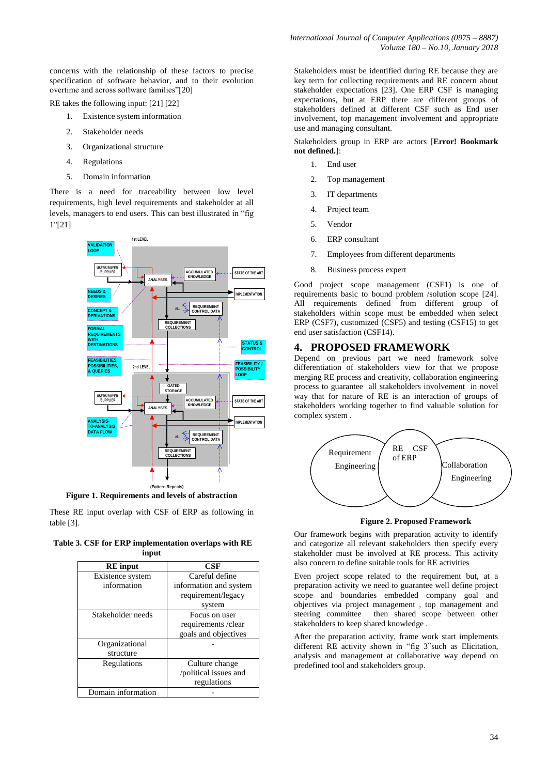concerns with the relationship of these factors to precise specification of software behavior, and to their evolution overtime and across software families"[20]

RE takes the following input: [21] [22]

- 1. Existence system information
- 2. Stakeholder needs
- 3. Organizational structure
- 4. Regulations
- 5. Domain information

There is a need for traceability between low level requirements, high level requirements and stakeholder at all levels, managers to end users. This can best illustrated in "fig 1"[21]



These RE input overlap with CSF of ERP as following in

table [3].

**Table 3. CSF for ERP implementation overlaps with RE input**

| <b>RE</b> input    | CSF                    |  |
|--------------------|------------------------|--|
| Existence system   | Careful define         |  |
| information        | information and system |  |
|                    | requirement/legacy     |  |
|                    | system                 |  |
| Stakeholder needs  | Focus on user          |  |
|                    | requirements /clear    |  |
|                    | goals and objectives   |  |
| Organizational     |                        |  |
| structure          |                        |  |
| Regulations        | Culture change         |  |
|                    | /political issues and  |  |
|                    | regulations            |  |
| Domain information |                        |  |

Stakeholders must be identified during RE because they are key term for collecting requirements and RE concern about stakeholder expectations [23]. One ERP CSF is managing expectations, but at ERP there are different groups of stakeholders defined at different CSF such as End user involvement, top management involvement and appropriate use and managing consultant.

Stakeholders group in ERP are actors [**Error! Bookmark not defined.**]:

- 1. End user
- 2. Top management
- 3. IT departments
- 4. Project team
- 5. Vendor
- 6. ERP consultant
- 7. Employees from different departments
- 8. Business process expert

Good project scope management (CSF1) is one of requirements basic to bound problem /solution scope [24]. All requirements defined from different group of stakeholders within scope must be embedded when select ERP (CSF7), customized (CSF5) and testing (CSF15) to get end user satisfaction (CSF14).

## **4. PROPOSED FRAMEWORK**

Depend on previous part we need framework solve differentiation of stakeholders view for that we propose merging RE process and creativity, collaboration engineering process to guarantee all stakeholders involvement in novel way that for nature of RE is an interaction of groups of stakeholders working together to find valuable solution for complex system .



**Figure 2. Proposed Framework**

Our framework begins with preparation activity to identify and categorize all relevant stakeholders then specify every stakeholder must be involved at RE process. This activity also concern to define suitable tools for RE activities

Even project scope related to the requirement but, at a preparation activity we need to guarantee well define project scope and boundaries embedded company goal and objectives via project management , top management and steering committee then shared scope between other stakeholders to keep shared knowledge .

After the preparation activity, frame work start implements different RE activity shown in "fig 3"such as Elicitation, analysis and management at collaborative way depend on predefined tool and stakeholders group.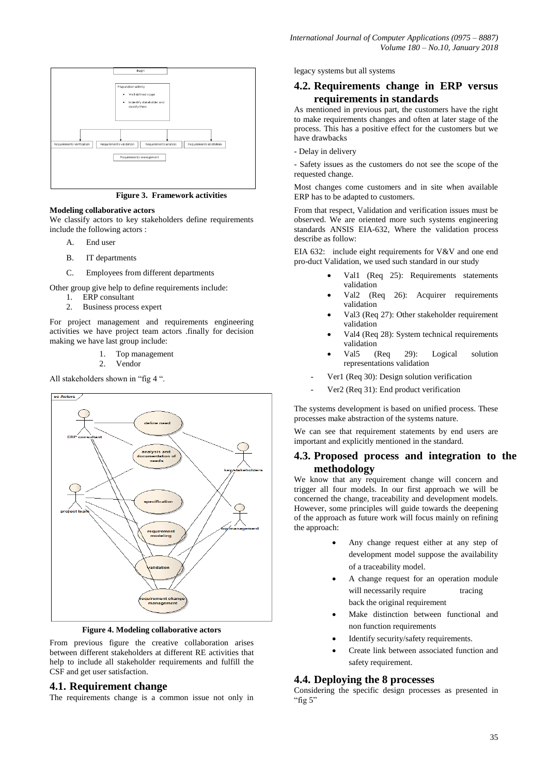

**Figure 3. Framework activities**

#### **Modeling collaborative actors**

We classify actors to key stakeholders define requirements include the following actors :

- A. End user
- B. IT departments
- C. Employees from different departments

Other group give help to define requirements include:

- 1. ERP consultant
- 2. Business process expert

For project management and requirements engineering activities we have project team actors .finally for decision making we have last group include:

- 1. Top management
	- 2. Vendor

All stakeholders shown in "fig 4 ".



**Figure 4. Modeling collaborative actors**

From previous figure the creative collaboration arises between different stakeholders at different RE activities that help to include all stakeholder requirements and fulfill the CSF and get user satisfaction.

## **4.1. Requirement change**

The requirements change is a common issue not only in

legacy systems but all systems

## **4.2. Requirements change in ERP versus requirements in standards**

As mentioned in previous part, the customers have the right to make requirements changes and often at later stage of the process. This has a positive effect for the customers but we have drawbacks

- Delay in delivery

- Safety issues as the customers do not see the scope of the requested change.

Most changes come customers and in site when available ERP has to be adapted to customers.

From that respect, Validation and verification issues must be observed. We are oriented more such systems engineering standards ANSIS EIA-632, Where the validation process describe as follow:

EIA 632: include eight requirements for V&V and one end pro-duct Validation, we used such standard in our study

- Val1 (Req 25): Requirements statements validation
- Val2 (Req 26): Acquirer requirements validation
- Val3 (Req 27): Other stakeholder requirement validation
- Val4 (Req 28): System technical requirements validation
- Val5 (Req 29): Logical solution representations validation
- Ver1 (Req 30): Design solution verification
- Ver2 (Req 31): End product verification

The systems development is based on unified process. These processes make abstraction of the systems nature.

We can see that requirement statements by end users are important and explicitly mentioned in the standard.

## **4.3. Proposed process and integration to the methodology**

We know that any requirement change will concern and trigger all four models. In our first approach we will be concerned the change, traceability and development models. However, some principles will guide towards the deepening of the approach as future work will focus mainly on refining the approach:

- Any change request either at any step of development model suppose the availability of a traceability model.
- A change request for an operation module will necessarily require tracing back the original requirement
- Make distinction between functional and non function requirements
- Identify security/safety requirements.
- Create link between associated function and safety requirement.

## **4.4. Deploying the 8 processes**

Considering the specific design processes as presented in "fig  $5$ "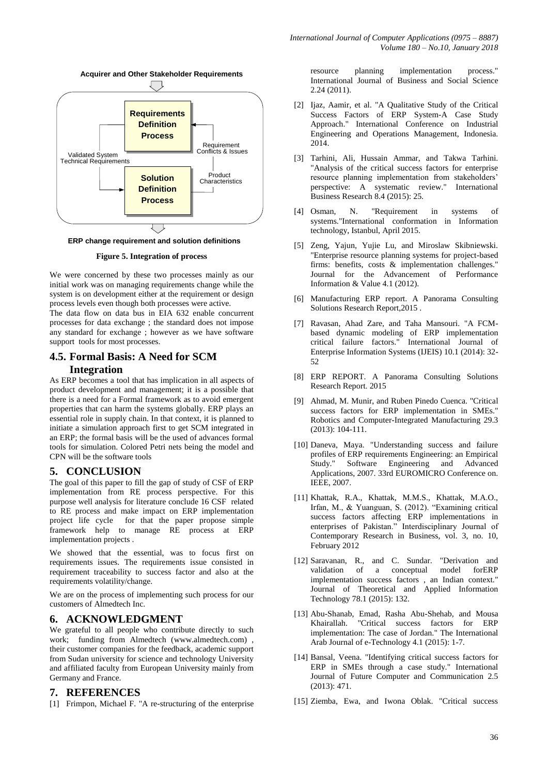

**Figure 5. Integration of process**

We were concerned by these two processes mainly as our initial work was on managing requirements change while the system is on development either at the requirement or design process levels even though both processes were active.

The data flow on data bus in EIA 632 enable concurrent processes for data exchange ; the standard does not impose any standard for exchange ; however as we have software support tools for most processes.

## **4.5. Formal Basis: A Need for SCM**

## **Integration**

As ERP becomes a tool that has implication in all aspects of product development and management; it is a possible that there is a need for a Formal framework as to avoid emergent properties that can harm the systems globally. ERP plays an essential role in supply chain. In that context, it is planned to initiate a simulation approach first to get SCM integrated in an ERP; the formal basis will be the used of advances formal tools for simulation. Colored Petri nets being the model and CPN will be the software tools

## **5. CONCLUSION**

The goal of this paper to fill the gap of study of CSF of ERP implementation from RE process perspective. For this purpose well analysis for literature conclude 16 CSF related to RE process and make impact on ERP implementation project life cycle for that the paper propose simple framework help to manage RE process at ERP implementation projects .

We showed that the essential, was to focus first on requirements issues. The requirements issue consisted in requirement traceability to success factor and also at the requirements volatility/change.

We are on the process of implementing such process for our customers of Almedtech Inc.

## **6. ACKNOWLEDGMENT**

We grateful to all people who contribute directly to such work; funding from Almedtech [\(www.almedtech.com\)](http://www.almedtech.com/) , their customer companies for the feedback, academic support from Sudan university for science and technology University and affiliated faculty from European University mainly from Germany and France.

### **7. REFERENCES**

[1] Frimpon, Michael F. "A re-structuring of the enterprise

resource planning implementation process." International Journal of Business and Social Science 2.24 (2011).

- [2] Ijaz, Aamir, et al. "A Qualitative Study of the Critical Success Factors of ERP System-A Case Study Approach." International Conference on Industrial Engineering and Operations Management, Indonesia. 2014.
- [3] Tarhini, Ali, Hussain Ammar, and Takwa Tarhini. "Analysis of the critical success factors for enterprise resource planning implementation from stakeholders' perspective: A systematic review." International Business Research 8.4 (2015): 25.
- [4] Osman, N. "Requirement in systems of systems."International conformation in Information technology, Istanbul, April 2015.
- [5] Zeng, Yajun, Yujie Lu, and Miroslaw Skibniewski. "Enterprise resource planning systems for project-based firms: benefits, costs & implementation challenges." Journal for the Advancement of Performance Information & Value 4.1 (2012).
- [6] Manufacturing ERP report. A Panorama Consulting Solutions Research Report,2015 .
- [7] Ravasan, Ahad Zare, and Taha Mansouri. "A FCMbased dynamic modeling of ERP implementation critical failure factors." International Journal of Enterprise Information Systems (IJEIS) 10.1 (2014): 32- 52
- [8] ERP REPORT. A Panorama Consulting Solutions Research Report. 2015
- [9] Ahmad, M. Munir, and Ruben Pinedo Cuenca. "Critical success factors for ERP implementation in SMEs." Robotics and Computer-Integrated Manufacturing 29.3 (2013): 104-111.
- [10] Daneva, Maya. "Understanding success and failure profiles of ERP requirements Engineering: an Empirical Study." Software Engineering and Advanced Applications, 2007. 33rd EUROMICRO Conference on. IEEE, 2007.
- [11] Khattak, R.A., Khattak, M.M.S., Khattak, M.A.O., Irfan, M., & Yuanguan, S. (2012). "Examining critical success factors affecting ERP implementations in enterprises of Pakistan." Interdisciplinary Journal of Contemporary Research in Business, vol. 3, no. 10, February 2012
- [12] Saravanan, R., and C. Sundar. "Derivation and validation of a conceptual model forERP implementation success factors , an Indian context." Journal of Theoretical and Applied Information Technology 78.1 (2015): 132.
- [13] Abu-Shanab, Emad, Rasha Abu-Shehab, and Mousa Khairallah. "Critical success factors for ERP implementation: The case of Jordan." The International Arab Journal of e-Technology 4.1 (2015): 1-7.
- [14] Bansal, Veena. "Identifying critical success factors for ERP in SMEs through a case study." International Journal of Future Computer and Communication 2.5 (2013): 471.
- [15] Ziemba, Ewa, and Iwona Oblak. "Critical success